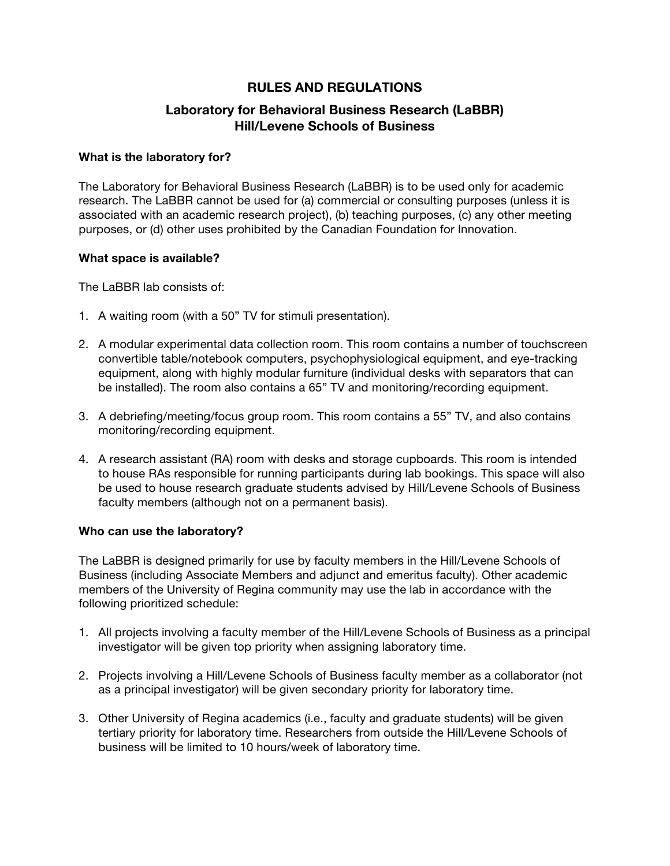# **RULES AND REGULATIONS**

# **Laboratory for Behavioral Business Research (LaBBR) Hill/Levene Schools of Business**

#### **What is the laboratory for?**

The Laboratory for Behavioral Business Research (LaBBR) is to be used only for academic research. The LaBBR cannot be used for (a) commercial or consulting purposes (unless it is associated with an academic research project), (b) teaching purposes, (c) any other meeting purposes, or (d) other uses prohibited by the Canadian Foundation for Innovation.

#### **What space is available?**

The LaBBR lab consists of:

- 1. A waiting room (with a 50" TV for stimuli presentation).
- 2. A modular experimental data collection room. This room contains a number of touchscreen convertible table/notebook computers, psychophysiological equipment, and eye-tracking equipment, along with highly modular furniture (individual desks with separators that can be installed). The room also contains a 65" TV and monitoring/recording equipment.
- 3. A debriefing/meeting/focus group room. This room contains a 55" TV, and also contains monitoring/recording equipment.
- 4. A research assistant (RA) room with desks and storage cupboards. This room is intended to house RAs responsible for running participants during lab bookings. This space will also be used to house research graduate students advised by Hill/Levene Schools of Business faculty members (although not on a permanent basis).

## **Who can use the laboratory?**

The LaBBR is designed primarily for use by faculty members in the Hill/Levene Schools of Business (including Associate Members and adjunct and emeritus faculty). Other academic members of the University of Regina community may use the lab in accordance with the following prioritized schedule:

- 1. All projects involving a faculty member of the Hill/Levene Schools of Business as a principal investigator will be given top priority when assigning laboratory time.
- 2. Projects involving a Hill/Levene Schools of Business faculty member as a collaborator (not as a principal investigator) will be given secondary priority for laboratory time.
- 3. Other University of Regina academics (i.e., faculty and graduate students) will be given tertiary priority for laboratory time. Researchers from outside the Hill/Levene Schools of business will be limited to 10 hours/week of laboratory time.